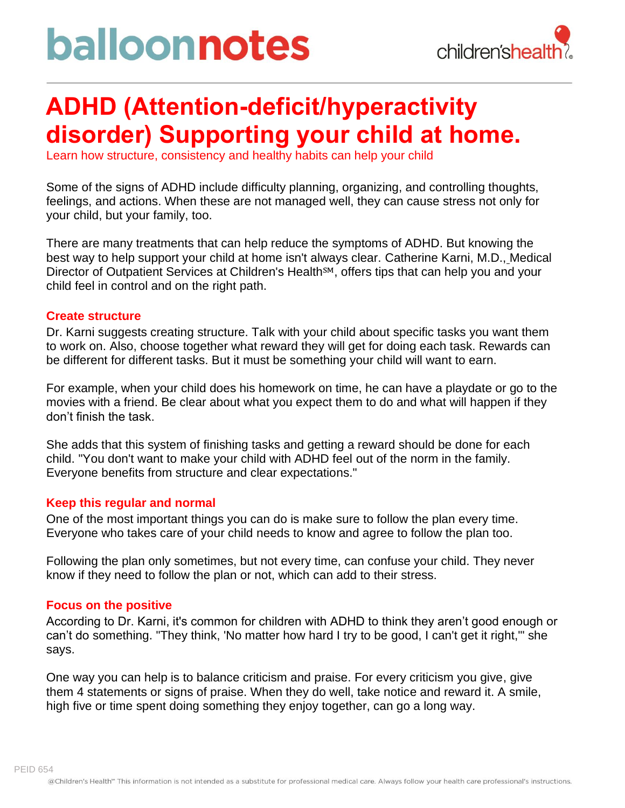# balloonnotes



### **ADHD (Attention-deficit/hyperactivity disorder) Supporting your child at home.**

Learn how structure, consistency and healthy habits can help your child

Some of the signs of ADHD include difficulty planning, organizing, and controlling thoughts, feelings, and actions. When these are not managed well, they can cause stress not only for your child, but your family, too.

There are many treatments that can help reduce the symptoms of ADHD. But knowing the best way to help support your child at home isn't always clear. Catherine Karni, M.D., Medical Director of Outpatient Services at Children's Health<sup>SM</sup>, offers tips that can help you and your child feel in control and on the right path.

#### **Create structure**

Dr. Karni suggests creating structure. Talk with your child about specific tasks you want them to work on. Also, choose together what reward they will get for doing each task. Rewards can be different for different tasks. But it must be something your child will want to earn.

For example, when your child does his homework on time, he can have a playdate or go to the movies with a friend. Be clear about what you expect them to do and what will happen if they don't finish the task.

She adds that this system of finishing tasks and getting a reward should be done for each child. "You don't want to make your child with ADHD feel out of the norm in the family. Everyone benefits from structure and clear expectations."

#### **Keep this regular and normal**

One of the most important things you can do is make sure to follow the plan every time. Everyone who takes care of your child needs to know and agree to follow the plan too.

Following the plan only sometimes, but not every time, can confuse your child. They never know if they need to follow the plan or not, which can add to their stress.

#### **Focus on the positive**

According to Dr. Karni, it's common for children with ADHD to think they aren't good enough or can't do something. "They think, 'No matter how hard I try to be good, I can't get it right,'" she says.

One way you can help is to balance criticism and praise. For every criticism you give, give them 4 statements or signs of praise. When they do well, take notice and reward it. A smile, high five or time spent doing something they enjoy together, can go a long way.

PEID 654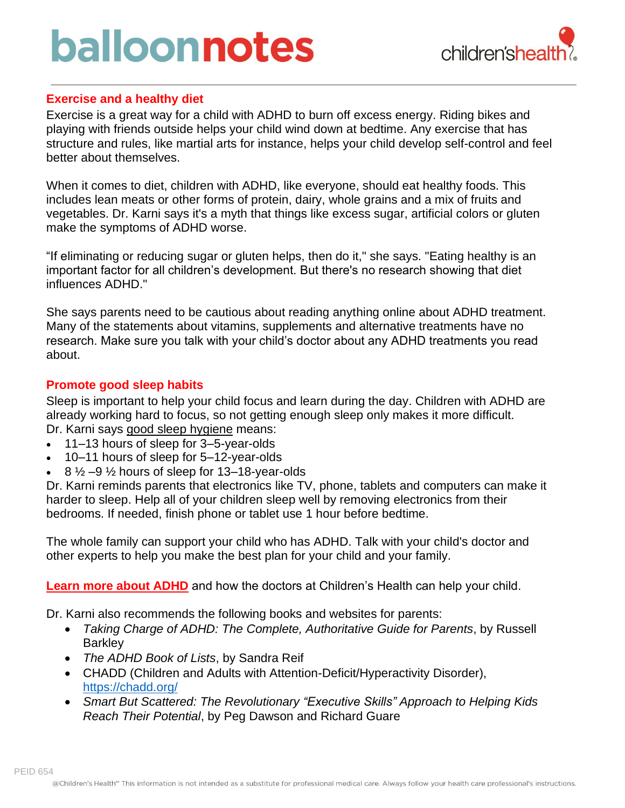# balloonnotes



### **Exercise and a healthy diet**

Exercise is a great way for a child with ADHD to burn off excess energy. Riding bikes and playing with friends outside helps your child wind down at bedtime. Any exercise that has structure and rules, like martial arts for instance, helps your child develop self-control and feel better about themselves.

When it comes to diet, children with ADHD, like everyone, should eat healthy foods. This includes lean meats or other forms of protein, dairy, whole grains and a mix of fruits and vegetables. Dr. Karni says it's a myth that things like excess sugar, artificial colors or gluten make the symptoms of ADHD worse.

"If eliminating or reducing sugar or gluten helps, then do it," she says. "Eating healthy is an important factor for all children's development. But there's no research showing that diet influences ADHD."

She says parents need to be cautious about reading anything online about ADHD treatment. Many of the statements about vitamins, supplements and alternative treatments have no research. Make sure you talk with your child's doctor about any ADHD treatments you read about.

### **Promote good sleep habits**

Sleep is important to help your child focus and learn during the day. Children with ADHD are already working hard to focus, so not getting enough sleep only makes it more difficult. Dr. Karni says good sleep [hygiene](https://www.childrens.com/health-wellness/your-childs-sleep-affects-their-brain) means:

- 11–13 hours of sleep for 3–5-year-olds
- 10–11 hours of sleep for 5–12-year-olds
- $8\frac{1}{2}$  –9  $\frac{1}{2}$  hours of sleep for 13–18-year-olds

Dr. Karni reminds parents that electronics like TV, phone, tablets and computers can make it harder to sleep. Help all of your children sleep well by removing electronics from their bedrooms. If needed, finish phone or tablet use 1 hour before bedtime.

The whole family can support your child who has ADHD. Talk with your child's doctor and other experts to help you make the best plan for your child and your family.

**Learn more about [ADHD](https://www.childrens.com/specialties-services/conditions/adhd)** and how the doctors at Children's Health can help your child.

Dr. Karni also recommends the following books and websites for parents:

- *Taking Charge of ADHD: The Complete, Authoritative Guide for Parents*, by Russell **Barkley**
- *The ADHD Book of Lists*, by Sandra Reif
- CHADD (Children and Adults with Attention-Deficit/Hyperactivity Disorder), <https://chadd.org/>
- *Smart But Scattered: The Revolutionary "Executive Skills" Approach to Helping Kids Reach Their Potential*, by Peg Dawson and Richard Guare